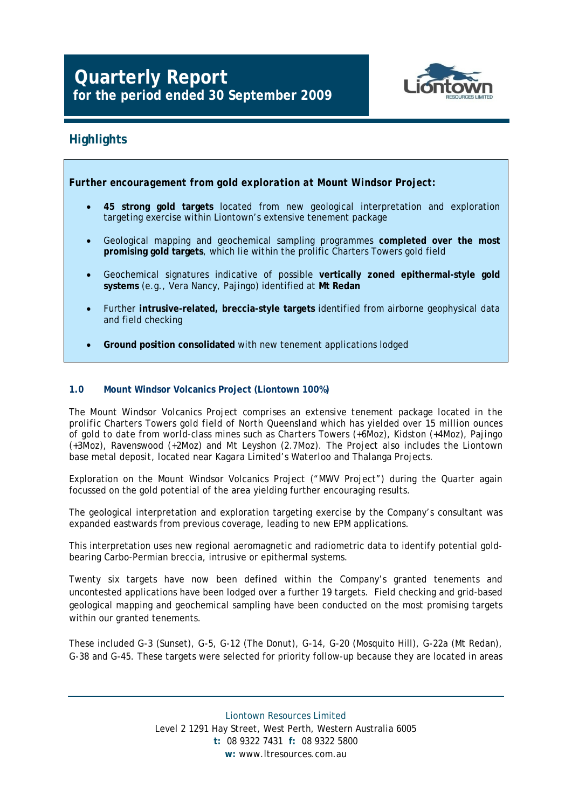# **Quarterly Report for the period ended 30 September 2009**



### **Highlights**

*Further encouragement from gold exploration at Mount Windsor Project:* 

- **45 strong gold targets** located from new geological interpretation and exploration targeting exercise within Liontown's extensive tenement package
- Geological mapping and geochemical sampling programmes **completed over the most promising gold targets**, which lie within the prolific Charters Towers gold field
- Geochemical signatures indicative of possible **vertically zoned epithermal-style gold systems** (e.g., Vera Nancy, Pajingo) identified at **Mt Redan**
- Further **intrusive-related, breccia-style targets** identified from airborne geophysical data and field checking
- **Ground position consolidated** with new tenement applications lodged

#### **1.0 Mount Windsor Volcanics Project (Liontown 100%)**

*The Mount Windsor Volcanics Project comprises an extensive tenement package located in the prolific Charters Towers gold field of North Queensland which has yielded over 15 million ounces of gold to date from world-class mines such as Charters Towers (+6Moz), Kidston (+4Moz), Pajingo (+3Moz), Ravenswood (+2Moz) and Mt Leyshon (2.7Moz). The Project also includes the Liontown base metal deposit, located near Kagara Limited's Waterloo and Thalanga Projects.* 

Exploration on the Mount Windsor Volcanics Project ("MWV Project") during the Quarter again focussed on the gold potential of the area yielding further encouraging results.

The geological interpretation and exploration targeting exercise by the Company's consultant was expanded eastwards from previous coverage, leading to new EPM applications.

This interpretation uses new regional aeromagnetic and radiometric data to identify potential goldbearing Carbo-Permian breccia, intrusive or epithermal systems.

Twenty six targets have now been defined within the Company's granted tenements and uncontested applications have been lodged over a further 19 targets. Field checking and grid-based geological mapping and geochemical sampling have been conducted on the most promising targets within our granted tenements.

These included G-3 (Sunset), G-5, G-12 (The Donut), G-14, G-20 (Mosquito Hill), G-22a (Mt Redan), G-38 and G-45. These targets were selected for priority follow-up because they are located in areas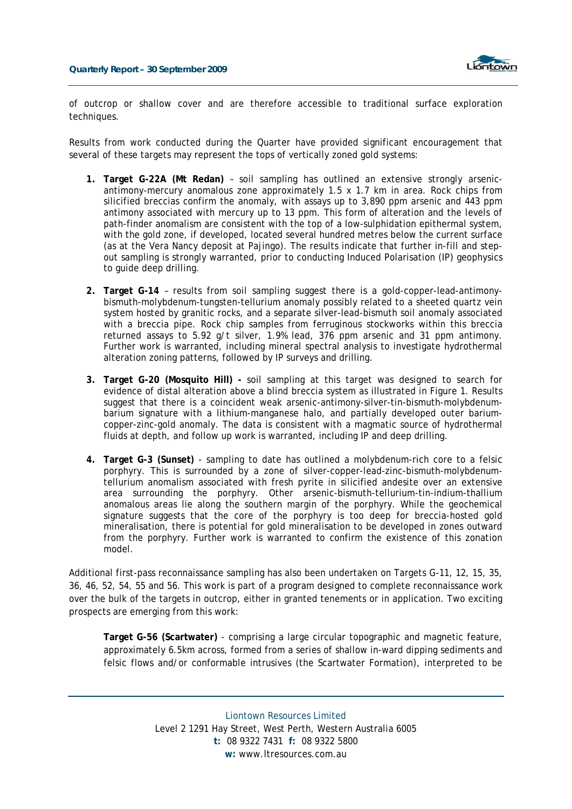

of outcrop or shallow cover and are therefore accessible to traditional surface exploration techniques.

Results from work conducted during the Quarter have provided significant encouragement that several of these targets may represent the tops of vertically zoned gold systems:

- **1. Target G-22A (Mt Redan)** soil sampling has outlined an extensive strongly arsenicantimony-mercury anomalous zone approximately 1.5 x 1.7 km in area. Rock chips from silicified breccias confirm the anomaly, with assays up to 3,890 ppm arsenic and 443 ppm antimony associated with mercury up to 13 ppm. This form of alteration and the levels of path-finder anomalism are consistent with the top of a low-sulphidation epithermal system, with the gold zone, if developed, located several hundred metres below the current surface (as at the Vera Nancy deposit at Pajingo). The results indicate that further in-fill and stepout sampling is strongly warranted, prior to conducting Induced Polarisation (IP) geophysics to guide deep drilling.
- **2. Target G-14** results from soil sampling suggest there is a gold-copper-lead-antimonybismuth-molybdenum-tungsten-tellurium anomaly possibly related to a sheeted quartz vein system hosted by granitic rocks, and a separate silver-lead-bismuth soil anomaly associated with a breccia pipe. Rock chip samples from ferruginous stockworks within this breccia returned assays to 5.92 g/t silver, 1.9% lead, 376 ppm arsenic and 31 ppm antimony. Further work is warranted, including mineral spectral analysis to investigate hydrothermal alteration zoning patterns, followed by IP surveys and drilling.
- **3. Target G-20 (Mosquito Hill) -** soil sampling at this target was designed to search for evidence of distal alteration above a blind breccia system as illustrated in Figure 1. Results suggest that there is a coincident weak arsenic-antimony-silver-tin-bismuth-molybdenumbarium signature with a lithium-manganese halo, and partially developed outer bariumcopper-zinc-gold anomaly. The data is consistent with a magmatic source of hydrothermal fluids at depth, and follow up work is warranted, including IP and deep drilling.
- **4. Target G-3 (Sunset)** sampling to date has outlined a molybdenum-rich core to a felsic porphyry. This is surrounded by a zone of silver-copper-lead-zinc-bismuth-molybdenumtellurium anomalism associated with fresh pyrite in silicified andesite over an extensive area surrounding the porphyry. Other arsenic-bismuth-tellurium-tin-indium-thallium anomalous areas lie along the southern margin of the porphyry. While the geochemical signature suggests that the core of the porphyry is too deep for breccia-hosted gold mineralisation, there is potential for gold mineralisation to be developed in zones outward from the porphyry. Further work is warranted to confirm the existence of this zonation model.

Additional first-pass reconnaissance sampling has also been undertaken on Targets G-11, 12, 15, 35, 36, 46, 52, 54, 55 and 56. This work is part of a program designed to complete reconnaissance work over the bulk of the targets in outcrop, either in granted tenements or in application. Two exciting prospects are emerging from this work:

**Target G-56 (Scartwater)** - comprising a large circular topographic and magnetic feature, approximately 6.5km across, formed from a series of shallow in-ward dipping sediments and felsic flows and/or conformable intrusives (the Scartwater Formation), interpreted to be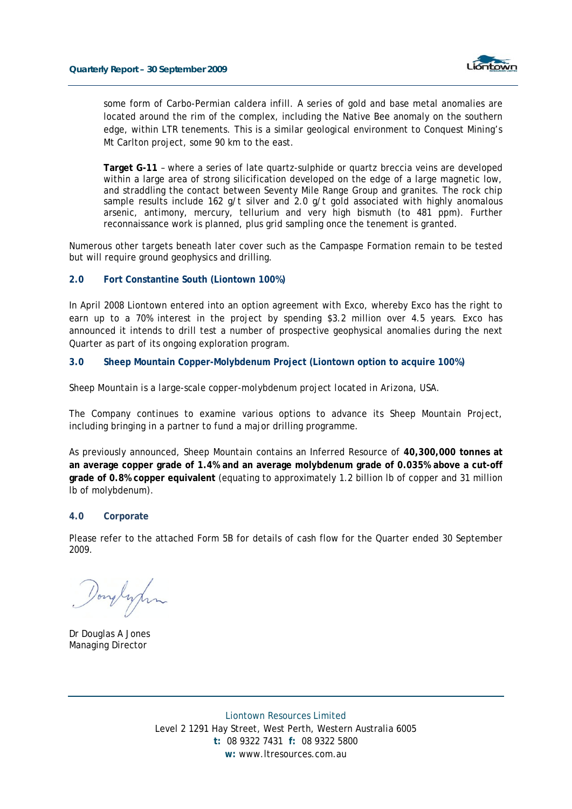

some form of Carbo-Permian caldera infill. A series of gold and base metal anomalies are located around the rim of the complex, including the Native Bee anomaly on the southern edge, within LTR tenements. This is a similar geological environment to Conquest Mining's Mt Carlton project, some 90 km to the east.

**Target G-11** – where a series of late quartz-sulphide or quartz breccia veins are developed within a large area of strong silicification developed on the edge of a large magnetic low, and straddling the contact between Seventy Mile Range Group and granites. The rock chip sample results include 162 g/t silver and 2.0 g/t gold associated with highly anomalous arsenic, antimony, mercury, tellurium and very high bismuth (to 481 ppm). Further reconnaissance work is planned, plus grid sampling once the tenement is granted.

Numerous other targets beneath later cover such as the Campaspe Formation remain to be tested but will require ground geophysics and drilling.

#### **2.0 Fort Constantine South (Liontown 100%)**

In April 2008 Liontown entered into an option agreement with Exco, whereby Exco has the right to earn up to a 70% interest in the project by spending \$3.2 million over 4.5 years. Exco has announced it intends to drill test a number of prospective geophysical anomalies during the next Quarter as part of its ongoing exploration program.

#### **3.0 Sheep Mountain Copper-Molybdenum Project (Liontown option to acquire 100%)**

*Sheep Mountain is a large-scale copper-molybdenum project located in Arizona, USA.*

The Company continues to examine various options to advance its Sheep Mountain Project, including bringing in a partner to fund a major drilling programme.

As previously announced, Sheep Mountain contains an Inferred Resource of **40,300,000 tonnes at an average copper grade of 1.4% and an average molybdenum grade of 0.035% above a cut-off grade of 0.8% copper equivalent** (equating to approximately 1.2 billion lb of copper and 31 million lb of molybdenum).

#### **4.0 Corporate**

Please refer to the attached Form 5B for details of cash flow for the Quarter ended 30 September 2009.

Douglypin

Dr Douglas A Jones Managing Director

Liontown Resources Limited Level 2 1291 Hay Street, West Perth, Western Australia 6005 **t:** 08 9322 7431 **f:** 08 9322 5800 **w:** www.ltresources.com.au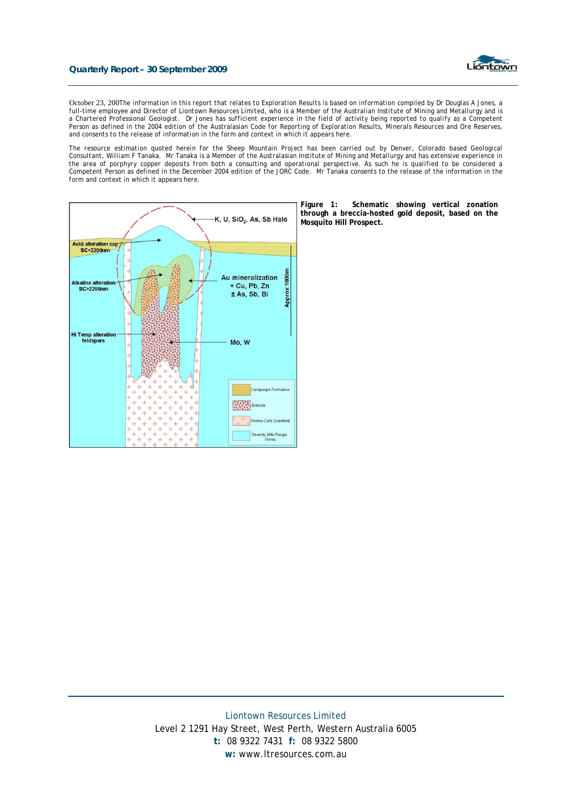#### **Quarterly Report – 30 September 2009**



October 23, 200*The information in this report that relates to Exploration Results is based on information compiled by Dr Douglas A Jones, a full-time employee and Director of Liontown Resources Limited, who is a Member of the Australian Institute of Mining and Metallurgy and is a Chartered Professional Geologist. Dr Jones has sufficient experience in the field of activity being reported to qualify as a Competent Person as defined in the 2004 edition of the Australasian Code for Reporting of Exploration Results, Minerals Resources and Ore Reserves, and consents to the release of information in the form and context in which it appears here.* 

*The resource estimation quoted herein for the Sheep Mountain Project has been carried out by Denver, Colorado based Geological Consultant, William F Tanaka. Mr Tanaka is a Member of the Australasian Institute of Mining and Metallurgy and has extensive experience in the area of porphyry copper deposits from both a consulting and operational perspective. As such he is qualified to be considered a Competent Person as defined in the December 2004 edition of the JORC Code. Mr Tanaka consents to the release of the information in the form and context in which it appears here.* 



**Figure 1: Schematic showing vertical zonation through a breccia-hosted gold deposit, based on the Mosquito Hill Prospect.**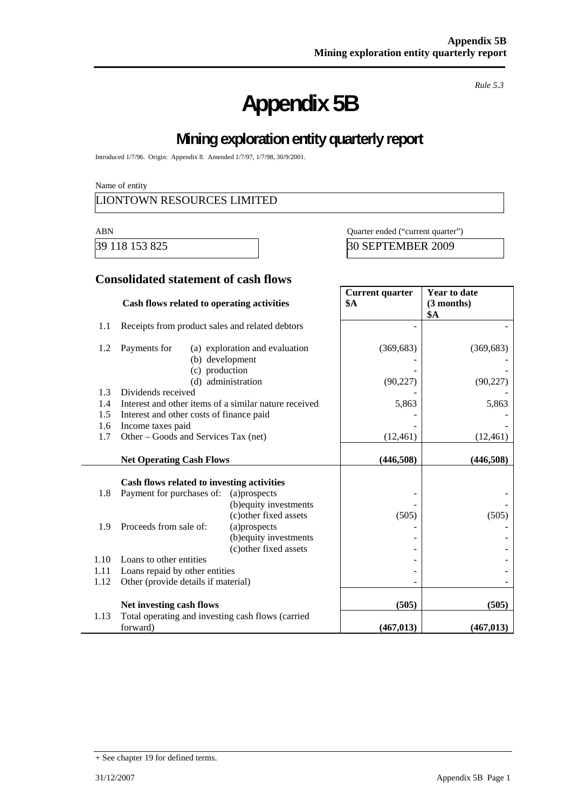# **Appendix 5B**

*Rule 5.3* 

# **Mining exploration entity quarterly report**

Introduced 1/7/96. Origin: Appendix 8. Amended 1/7/97, 1/7/98, 30/9/2001.

Name of entity

#### LIONTOWN RESOURCES LIMITED

ABN Quarter ended ("current quarter")

39 118 153 825 30 SEPTEMBER 2009

#### **Consolidated statement of cash flows**

|      | Cash flows related to operating activities            |                                | <b>Current quarter</b><br><b>\$A</b> | <b>Year to date</b><br>(3 months)<br>\$A |
|------|-------------------------------------------------------|--------------------------------|--------------------------------------|------------------------------------------|
| 1.1  | Receipts from product sales and related debtors       |                                |                                      |                                          |
| 1.2  | Payments for<br>(b) development<br>(c) production     | (a) exploration and evaluation | (369, 683)                           | (369, 683)                               |
|      |                                                       | (d) administration             | (90, 227)                            | (90, 227)                                |
| 1.3  | Dividends received                                    |                                |                                      |                                          |
| 1.4  | Interest and other items of a similar nature received |                                | 5,863                                | 5,863                                    |
| 1.5  | Interest and other costs of finance paid              |                                |                                      |                                          |
| 1.6  | Income taxes paid                                     |                                |                                      |                                          |
| 1.7  | Other – Goods and Services Tax (net)                  |                                | (12, 461)                            | (12, 461)                                |
|      | <b>Net Operating Cash Flows</b>                       |                                | (446,508)                            | (446,508)                                |
|      | Cash flows related to investing activities            |                                |                                      |                                          |
| 1.8  | Payment for purchases of:                             | (a)prospects                   |                                      |                                          |
|      |                                                       | (b) equity investments         |                                      |                                          |
|      |                                                       | (c) other fixed assets         | (505)                                | (505)                                    |
| 1.9  | Proceeds from sale of:                                | (a)prospects                   |                                      |                                          |
|      |                                                       | (b) equity investments         |                                      |                                          |
|      |                                                       | (c) other fixed assets         |                                      |                                          |
| 1.10 | Loans to other entities                               |                                |                                      |                                          |
| 1.11 | Loans repaid by other entities                        |                                |                                      |                                          |
| 1.12 | Other (provide details if material)                   |                                |                                      |                                          |
|      | Net investing cash flows                              |                                | (505)                                | (505)                                    |
| 1.13 | Total operating and investing cash flows (carried     |                                |                                      |                                          |
|      | forward)                                              |                                | (467, 013)                           | (467, 013)                               |

<sup>+</sup> See chapter 19 for defined terms.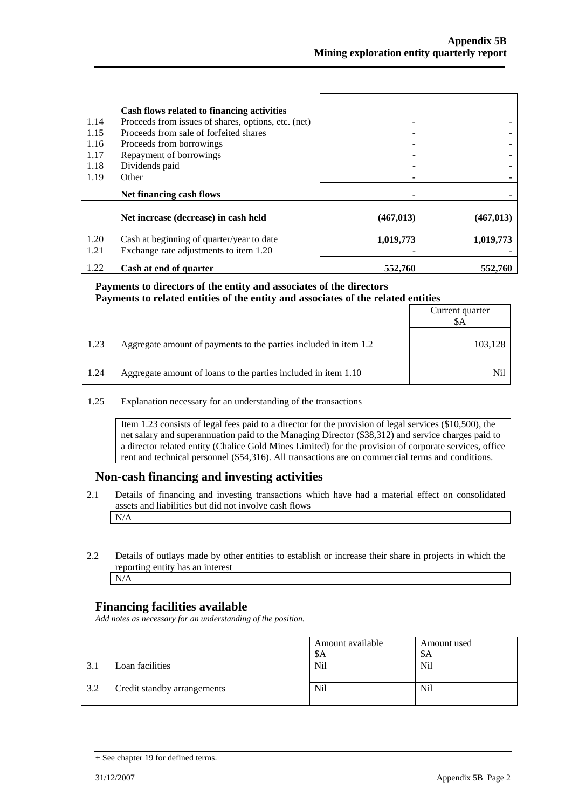|              | Cash flows related to financing activities                                          |            |            |
|--------------|-------------------------------------------------------------------------------------|------------|------------|
| 1.14         | Proceeds from issues of shares, options, etc. (net)                                 | -          |            |
| 1.15         | Proceeds from sale of forfeited shares                                              |            |            |
| 1.16         | Proceeds from borrowings                                                            |            |            |
| 1.17         | Repayment of borrowings                                                             |            |            |
| 1.18         | Dividends paid                                                                      |            |            |
| 1.19         | Other                                                                               |            |            |
|              |                                                                                     |            |            |
|              | Net financing cash flows                                                            |            |            |
|              | Net increase (decrease) in cash held                                                | (467, 013) | (467, 013) |
| 1.20<br>1.21 | Cash at beginning of quarter/year to date<br>Exchange rate adjustments to item 1.20 | 1,019,773  | 1,019,773  |

#### **Payments to directors of the entity and associates of the directors Payments to related entities of the entity and associates of the related entities**

|      |                                                                  | Current quarter<br>SА |
|------|------------------------------------------------------------------|-----------------------|
| 1.23 | Aggregate amount of payments to the parties included in item 1.2 | 103,128               |
| 1.24 | Aggregate amount of loans to the parties included in item 1.10   | Nil                   |

#### 1.25 Explanation necessary for an understanding of the transactions

Item 1.23 consists of legal fees paid to a director for the provision of legal services (\$10,500), the net salary and superannuation paid to the Managing Director (\$38,312) and service charges paid to a director related entity (Chalice Gold Mines Limited) for the provision of corporate services, office rent and technical personnel (\$54,316). All transactions are on commercial terms and conditions.

#### **Non-cash financing and investing activities**

- 2.1 Details of financing and investing transactions which have had a material effect on consolidated assets and liabilities but did not involve cash flows N/A
- 2.2 Details of outlays made by other entities to establish or increase their share in projects in which the reporting entity has an interest N/A

#### **Financing facilities available**

*Add notes as necessary for an understanding of the position.* 

|     |                             | Amount available<br>\$A | Amount used<br>\$A |
|-----|-----------------------------|-------------------------|--------------------|
| 3.1 | Loan facilities             | <b>Nil</b>              | Nil                |
| 3.2 | Credit standby arrangements | Nil                     | Nil                |

<sup>+</sup> See chapter 19 for defined terms.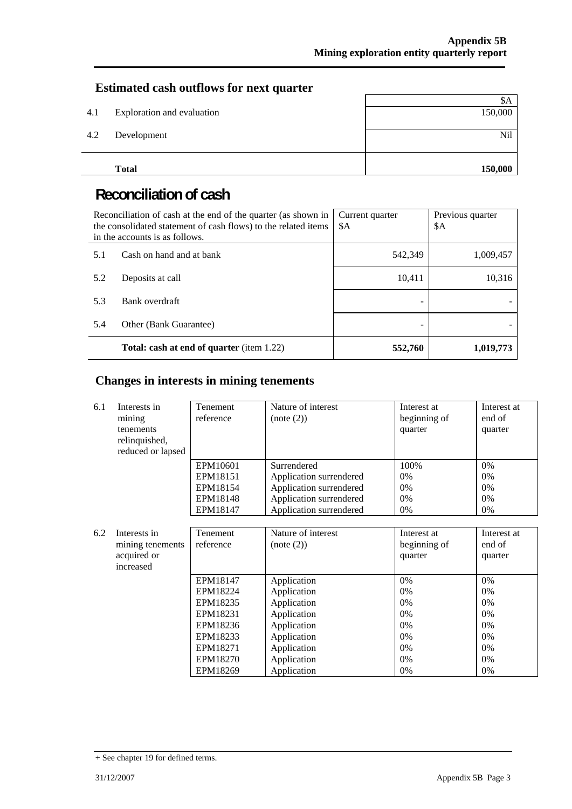### **Estimated cash outflows for next quarter**

| 4.1 | Exploration and evaluation | \$A<br>150,000 |
|-----|----------------------------|----------------|
| 4.2 | Development                | Nil            |
|     | <b>Total</b>               | 150,000        |

# **Reconciliation of cash**

| Reconciliation of cash at the end of the quarter (as shown in<br>the consolidated statement of cash flows) to the related items<br>in the accounts is as follows. |                                                  | Current quarter<br>\$A | Previous quarter<br>\$A |
|-------------------------------------------------------------------------------------------------------------------------------------------------------------------|--------------------------------------------------|------------------------|-------------------------|
| 5.1                                                                                                                                                               | Cash on hand and at bank                         | 542,349                | 1,009,457               |
| 5.2                                                                                                                                                               | Deposits at call                                 | 10,411                 | 10,316                  |
| 5.3                                                                                                                                                               | Bank overdraft                                   |                        |                         |
| 5.4                                                                                                                                                               | Other (Bank Guarantee)                           |                        |                         |
|                                                                                                                                                                   | <b>Total: cash at end of quarter</b> (item 1.22) | 552,760                | 1,019,773               |

### **Changes in interests in mining tenements**

| 6.1 | Interests in      | Tenement  | Nature of interest      | Interest at  | Interest at |
|-----|-------------------|-----------|-------------------------|--------------|-------------|
|     | mining            | reference | (note (2))              | beginning of | end of      |
|     | tenements         |           |                         | quarter      | quarter     |
|     | relinquished,     |           |                         |              |             |
|     | reduced or lapsed |           |                         |              |             |
|     |                   | EPM10601  | Surrendered             | 100%         | 0%          |
|     |                   | EPM18151  | Application surrendered | 0%           | 0%          |
|     |                   | EPM18154  | Application surrendered | 0%           | 0%          |
|     |                   | EPM18148  | Application surrendered | 0%           | 0%          |
|     |                   | EPM18147  | Application surrendered | 0%           | 0%          |
|     |                   |           |                         |              |             |
| 6.2 | Interests in      | Tenement  | Nature of interest      | Interest at  | Interest at |
|     | mining tenements  | reference | (note (2))              | beginning of | end of      |
|     | acquired or       |           |                         | quarter      | quarter     |
|     | increased         |           |                         |              |             |
|     |                   | EPM18147  | Application             | 0%           | 0%          |
|     |                   | EPM18224  | Application             | 0%           | 0%          |
|     |                   | EPM18235  | Application             | 0%           | 0%          |
|     |                   | EPM18231  | Application             | 0%           | 0%          |
|     |                   | EPM18236  | Application             | 0%           | 0%          |
|     |                   | EPM18233  | Application             | 0%           | 0%          |
|     |                   | EPM18271  | Application             | 0%           | 0%          |
|     |                   | EPM18270  | Application             | 0%           | 0%          |
|     |                   | EPM18269  | Application             | 0%           | 0%          |

<sup>+</sup> See chapter 19 for defined terms.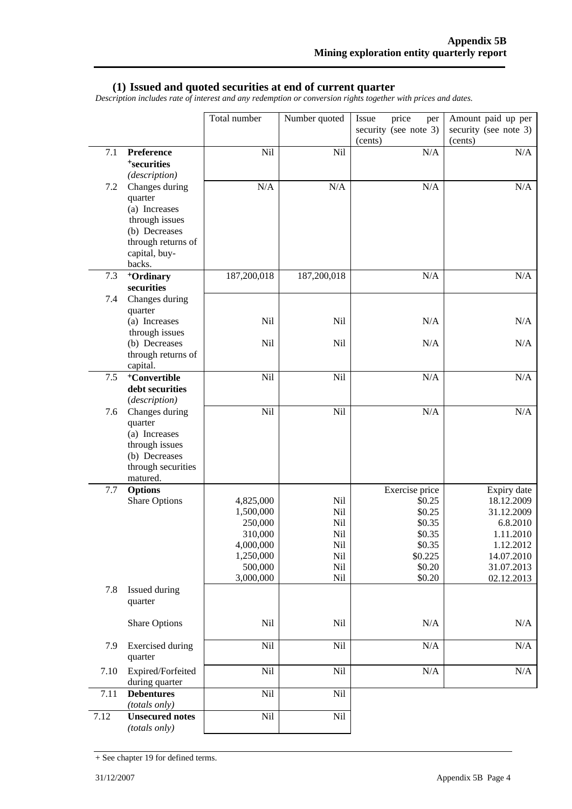#### **(1) Issued and quoted securities at end of current quarter**

*Description includes rate of interest and any redemption or conversion rights together with prices and dates.* 

|         |                                                                                                                                | Total number                                                                                   | Number quoted                                        | price<br>Issue<br>per<br>security (see note 3)<br>(cents)                                       | Amount paid up per<br>security (see note 3)<br>(cents)                                                                  |
|---------|--------------------------------------------------------------------------------------------------------------------------------|------------------------------------------------------------------------------------------------|------------------------------------------------------|-------------------------------------------------------------------------------------------------|-------------------------------------------------------------------------------------------------------------------------|
| 7.1     | Preference<br><sup>+</sup> securities<br>(description)                                                                         | Nil                                                                                            | Nil                                                  | N/A                                                                                             | N/A                                                                                                                     |
| 7.2     | Changes during<br>quarter<br>(a) Increases<br>through issues<br>(b) Decreases<br>through returns of<br>capital, buy-<br>backs. | N/A                                                                                            | N/A                                                  | $\rm N/A$                                                                                       | N/A                                                                                                                     |
| 7.3     | <sup>+</sup> Ordinary<br>securities                                                                                            | 187,200,018                                                                                    | 187,200,018                                          | N/A                                                                                             | N/A                                                                                                                     |
| 7.4     | Changes during<br>quarter<br>(a) Increases<br>through issues                                                                   | Nil                                                                                            | Nil                                                  | N/A                                                                                             | N/A                                                                                                                     |
|         | (b) Decreases<br>through returns of<br>capital.                                                                                | Nil                                                                                            | Nil                                                  | N/A                                                                                             | N/A                                                                                                                     |
| $7.5\,$ | <sup>+</sup> Convertible<br>debt securities<br>(description)                                                                   | Nil                                                                                            | Nil                                                  | N/A                                                                                             | N/A                                                                                                                     |
| 7.6     | Changes during<br>quarter<br>(a) Increases<br>through issues<br>(b) Decreases<br>through securities<br>matured.                | Nil                                                                                            | Nil                                                  | N/A                                                                                             | N/A                                                                                                                     |
| 7.7     | <b>Options</b><br><b>Share Options</b>                                                                                         | 4,825,000<br>1,500,000<br>250,000<br>310,000<br>4,000,000<br>1,250,000<br>500,000<br>3,000,000 | Nil<br>Nil<br>Nil<br>Nil<br>Nil<br>Nil<br>Nil<br>Nil | Exercise price<br>\$0.25<br>\$0.25<br>\$0.35<br>\$0.35<br>\$0.35<br>\$0.225<br>\$0.20<br>\$0.20 | Expiry date<br>18.12.2009<br>31.12.2009<br>6.8.2010<br>1.11.2010<br>1.12.2012<br>14.07.2010<br>31.07.2013<br>02.12.2013 |
| 7.8     | Issued during<br>quarter                                                                                                       |                                                                                                |                                                      |                                                                                                 |                                                                                                                         |
|         | <b>Share Options</b>                                                                                                           | Nil                                                                                            | Nil                                                  | N/A                                                                                             | N/A                                                                                                                     |
| 7.9     | <b>Exercised</b> during<br>quarter                                                                                             | Nil                                                                                            | Nil                                                  | $\rm N/A$                                                                                       | $\rm N/A$                                                                                                               |
| 7.10    | Expired/Forfeited<br>during quarter                                                                                            | Nil                                                                                            | Nil                                                  | N/A                                                                                             | N/A                                                                                                                     |
| 7.11    | <b>Debentures</b><br>(totals only)                                                                                             | Nil                                                                                            | Nil                                                  |                                                                                                 |                                                                                                                         |
| 7.12    | <b>Unsecured notes</b><br>(totals only)                                                                                        | Nil                                                                                            | Nil                                                  |                                                                                                 |                                                                                                                         |

<sup>+</sup> See chapter 19 for defined terms.